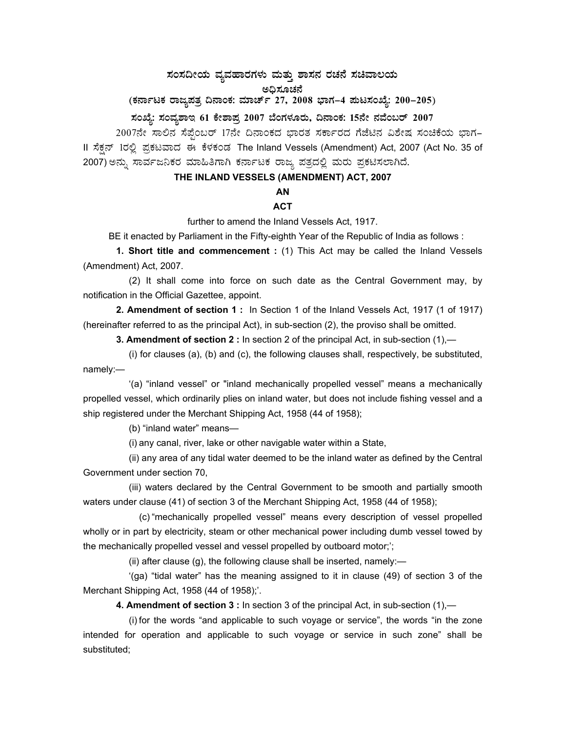# ಸಂಸದೀಯ ವ್ಯವಹಾರಗಳು ಮತ್ತು ಶಾಸನ ರಚನೆ ಸಚಿವಾಲಯ<br>… ಮೊತ್ತವನ್ನು

ಅಧಿಸೂಚನೆ

(ಕರ್ನಾಟಕ ರಾಜ್ಯಪತ್ರ ದಿನಾಂಕ: ಮಾರ್ಚ್ 27, 2008 ಭಾಗ–4 **ಮಟಸಂಖ್ಯೆ: 200–205**)

# **¸ÀASÉå: ¸ÀAªÀå±ÁE 61 PÉñÁ¥Àæ 2007 ¨ÉAUÀ¼ÀÆgÀÄ, ¢£ÁAPÀ: 15£Éà £ÀªÉA§gï 2007**

2007ನೇ ಸಾಲಿನ ಸೆಪ್ಪೆಂಬರ್ 17ನೇ ದಿನಾಂಕದ ಭಾರತ ಸರ್ಕಾರದ ಗೆಜೆಟಿನ ವಿಶೇಷ ಸಂಚಿಕೆಯ ಭಾಗ-II ಸೆಕ್ಷನ್ 1ರಲ್ಲಿ ಪ್ರಕಟವಾದ ಈ ಕೆಳಕಂಡ The Inland Vessels (Amendment) Act, 2007 (Act No. 35 of 2007) ಅನ್ನು ಸಾರ್ವಜನಿಕರ ಮಾಹಿತಿಗಾಗಿ ಕರ್ನಾಟಕ ರಾಜ್ಯ ಪತ್ರದಲ್ಲಿ ಮರು ಪ್ರಕಟಿಸಲಾಗಿದೆ.

# **THE INLAND VESSELS (AMENDMENT) ACT, 2007**

# **AN**

# **ACT**

further to amend the Inland Vessels Act, 1917.

BE it enacted by Parliament in the Fifty-eighth Year of the Republic of India as follows :

**1. Short title and commencement :** (1) This Act may be called the Inland Vessels (Amendment) Act, 2007.

 (2) It shall come into force on such date as the Central Government may, by notification in the Official Gazettee, appoint.

**2. Amendment of section 1 :** In Section 1 of the Inland Vessels Act, 1917 (1 of 1917) (hereinafter referred to as the principal Act), in sub-section (2), the proviso shall be omitted.

 **3. Amendment of section 2 :** In section 2 of the principal Act, in sub-section (1),—

 (i) for clauses (a), (b) and (c), the following clauses shall, respectively, be substituted, namely:—

 '(a) "inland vessel" or "inland mechanically propelled vessel" means a mechanically propelled vessel, which ordinarily plies on inland water, but does not include fishing vessel and a ship registered under the Merchant Shipping Act, 1958 (44 of 1958);

(b) "inland water" means—

(i) any canal, river, lake or other navigable water within a State,

 (ii) any area of any tidal water deemed to be the inland water as defined by the Central Government under section 70,

 (iii) waters declared by the Central Government to be smooth and partially smooth waters under clause (41) of section 3 of the Merchant Shipping Act, 1958 (44 of 1958);

 (c) "mechanically propelled vessel" means every description of vessel propelled wholly or in part by electricity, steam or other mechanical power including dumb vessel towed by the mechanically propelled vessel and vessel propelled by outboard motor;';

(ii) after clause  $(g)$ , the following clause shall be inserted, namely:-

 '(ga) "tidal water" has the meaning assigned to it in clause (49) of section 3 of the Merchant Shipping Act, 1958 (44 of 1958);'.

**4. Amendment of section 3 :** In section 3 of the principal Act, in sub-section (1),—

 (i) for the words "and applicable to such voyage or service", the words "in the zone intended for operation and applicable to such voyage or service in such zone" shall be substituted;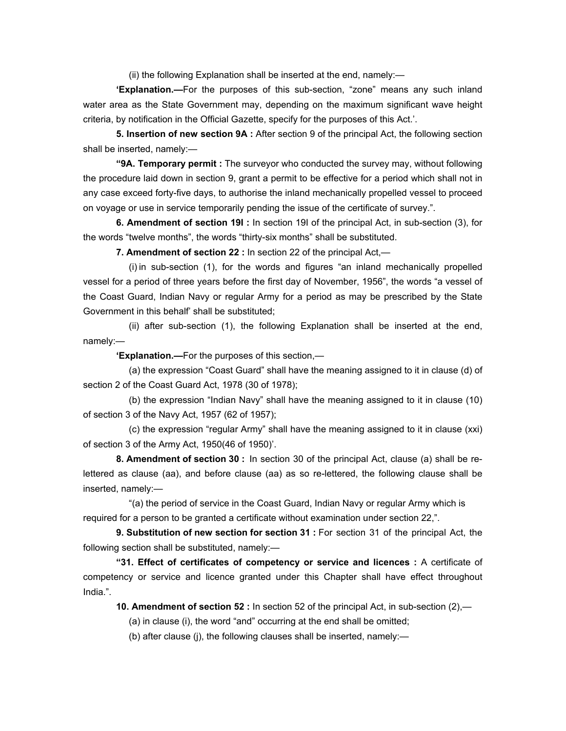(ii) the following Explanation shall be inserted at the end, namely:—

**'Explanation.—**For the purposes of this sub-section, "zone" means any such inland water area as the State Government may, depending on the maximum significant wave height criteria, by notification in the Official Gazette, specify for the purposes of this Act.'.

 **5. Insertion of new section 9A :** After section 9 of the principal Act, the following section shall be inserted, namely:—

 **"9A. Temporary permit :** The surveyor who conducted the survey may, without following the procedure laid down in section 9, grant a permit to be effective for a period which shall not in any case exceed forty-five days, to authorise the inland mechanically propelled vessel to proceed on voyage or use in service temporarily pending the issue of the certificate of survey.".

 **6. Amendment of section 19I :** In section 19I of the principal Act, in sub-section (3), for the words "twelve months", the words "thirty-six months" shall be substituted.

 **7. Amendment of section 22 :** In section 22 of the principal Act,—

 (i) in sub-section (1), for the words and figures "an inland mechanically propelled vessel for a period of three years before the first day of November, 1956", the words "a vessel of the Coast Guard, Indian Navy or regular Army for a period as may be prescribed by the State Government in this behalf' shall be substituted;

 (ii) after sub-section (1), the following Explanation shall be inserted at the end, namely:—

**'Explanation.—**For the purposes of this section,—

 (a) the expression "Coast Guard" shall have the meaning assigned to it in clause (d) of section 2 of the Coast Guard Act, 1978 (30 of 1978);

 (b) the expression "Indian Navy" shall have the meaning assigned to it in clause (10) of section 3 of the Navy Act, 1957 (62 of 1957);

 (c) the expression "regular Army" shall have the meaning assigned to it in clause (xxi) of section 3 of the Army Act, 1950(46 of 1950)'.

 **8. Amendment of section 30 :** In section 30 of the principal Act, clause (a) shall be relettered as clause (aa), and before clause (aa) as so re-lettered, the following clause shall be inserted, namely:—

 "(a) the period of service in the Coast Guard, Indian Navy or regular Army which is required for a person to be granted a certificate without examination under section 22,".

 **9. Substitution of new section for section 31 :** For section 31 of the principal Act, the following section shall be substituted, namely:—

 **"31. Effect of certificates of competency or service and licences :** A certificate of competency or service and licence granted under this Chapter shall have effect throughout India.".

 **10. Amendment of section 52 :** In section 52 of the principal Act, in sub-section (2),—

(a) in clause (i), the word "and" occurring at the end shall be omitted;

(b) after clause (j), the following clauses shall be inserted, namely:—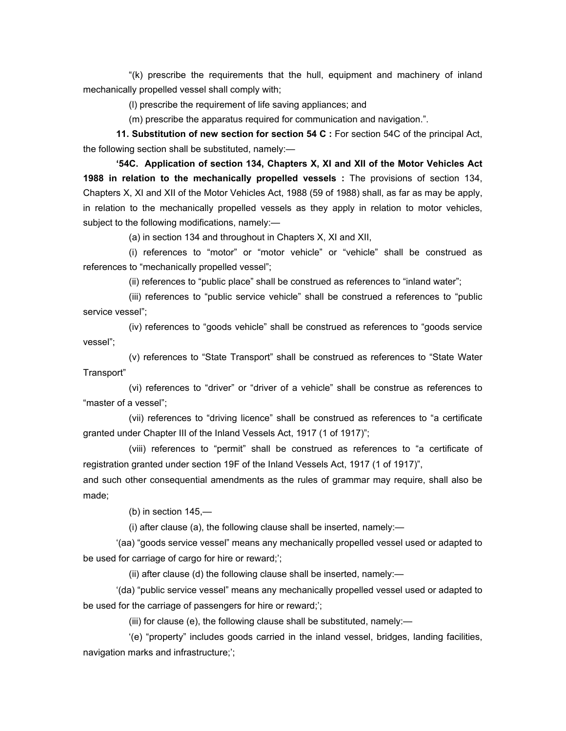"(k) prescribe the requirements that the hull, equipment and machinery of inland mechanically propelled vessel shall comply with;

(l) prescribe the requirement of life saving appliances; and

(m) prescribe the apparatus required for communication and navigation.".

 **11. Substitution of new section for section 54 C :** For section 54C of the principal Act, the following section shall be substituted, namely:—

 **'54C. Application of section 134, Chapters X, XI and XII of the Motor Vehicles Act 1988 in relation to the mechanically propelled vessels :** The provisions of section 134, Chapters X, XI and XII of the Motor Vehicles Act, 1988 (59 of 1988) shall, as far as may be apply, in relation to the mechanically propelled vessels as they apply in relation to motor vehicles, subject to the following modifications, namely:—

(a) in section 134 and throughout in Chapters X, XI and XII,

 (i) references to "motor" or "motor vehicle" or "vehicle" shall be construed as references to "mechanically propelled vessel";

(ii) references to "public place" shall be construed as references to "inland water";

 (iii) references to "public service vehicle" shall be construed a references to "public service vessel";

 (iv) references to "goods vehicle" shall be construed as references to "goods service vessel";

 (v) references to "State Transport" shall be construed as references to "State Water Transport"

 (vi) references to "driver" or "driver of a vehicle" shall be construe as references to "master of a vessel";

 (vii) references to "driving licence" shall be construed as references to "a certificate granted under Chapter III of the Inland Vessels Act, 1917 (1 of 1917)";

 (viii) references to "permit" shall be construed as references to "a certificate of registration granted under section 19F of the Inland Vessels Act, 1917 (1 of 1917)",

and such other consequential amendments as the rules of grammar may require, shall also be made;

(b) in section 145,—

(i) after clause (a), the following clause shall be inserted, namely:—

 '(aa) "goods service vessel" means any mechanically propelled vessel used or adapted to be used for carriage of cargo for hire or reward;';

(ii) after clause (d) the following clause shall be inserted, namely:—

 '(da) "public service vessel" means any mechanically propelled vessel used or adapted to be used for the carriage of passengers for hire or reward;';

(iii) for clause (e), the following clause shall be substituted, namely:—

 '(e) "property" includes goods carried in the inland vessel, bridges, landing facilities, navigation marks and infrastructure;';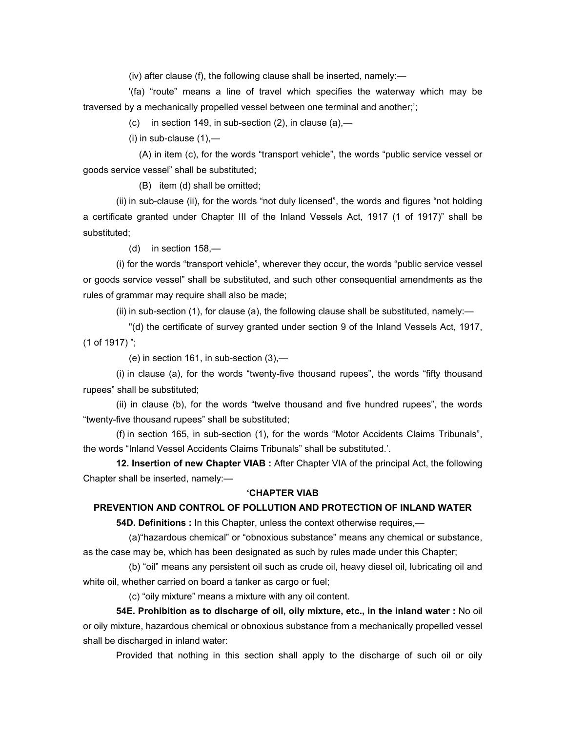(iv) after clause (f), the following clause shall be inserted, namely:—

 '(fa) "route" means a line of travel which specifies the waterway which may be traversed by a mechanically propelled vessel between one terminal and another;';

(c) in section 149, in sub-section  $(2)$ , in clause  $(a)$ ,—

 $(i)$  in sub-clause  $(1)$ ,—

 (A) in item (c), for the words "transport vehicle", the words "public service vessel or goods service vessel" shall be substituted;

(B) item (d) shall be omitted;

 (ii) in sub-clause (ii), for the words "not duly licensed", the words and figures "not holding a certificate granted under Chapter III of the Inland Vessels Act, 1917 (1 of 1917)" shall be substituted;

(d) in section 158,—

 (i) for the words "transport vehicle", wherever they occur, the words "public service vessel or goods service vessel" shall be substituted, and such other consequential amendments as the rules of grammar may require shall also be made;

(ii) in sub-section  $(1)$ , for clause  $(a)$ , the following clause shall be substituted, namely:—

 "(d) the certificate of survey granted under section 9 of the Inland Vessels Act, 1917, (1 of 1917) ";

(e) in section 161, in sub-section (3),—

 (i) in clause (a), for the words "twenty-five thousand rupees", the words "fifty thousand rupees" shall be substituted;

 (ii) in clause (b), for the words "twelve thousand and five hundred rupees", the words "twenty-five thousand rupees" shall be substituted;

 (f) in section 165, in sub-section (1), for the words "Motor Accidents Claims Tribunals", the words "Inland Vessel Accidents Claims Tribunals" shall be substituted.'.

 **12. Insertion of new Chapter VIAB :** After Chapter VIA of the principal Act, the following Chapter shall be inserted, namely:—

#### **'CHAPTER VIAB**

### **PREVENTION AND CONTROL OF POLLUTION AND PROTECTION OF INLAND WATER**

 **54D. Definitions :** In this Chapter, unless the context otherwise requires,—

 (a)"hazardous chemical" or "obnoxious substance" means any chemical or substance, as the case may be, which has been designated as such by rules made under this Chapter;

 (b) "oil" means any persistent oil such as crude oil, heavy diesel oil, lubricating oil and white oil, whether carried on board a tanker as cargo or fuel;

(c) "oily mixture" means a mixture with any oil content.

 **54E. Prohibition as to discharge of oil, oily mixture, etc., in the inland water :** No oil or oily mixture, hazardous chemical or obnoxious substance from a mechanically propelled vessel shall be discharged in inland water:

Provided that nothing in this section shall apply to the discharge of such oil or oily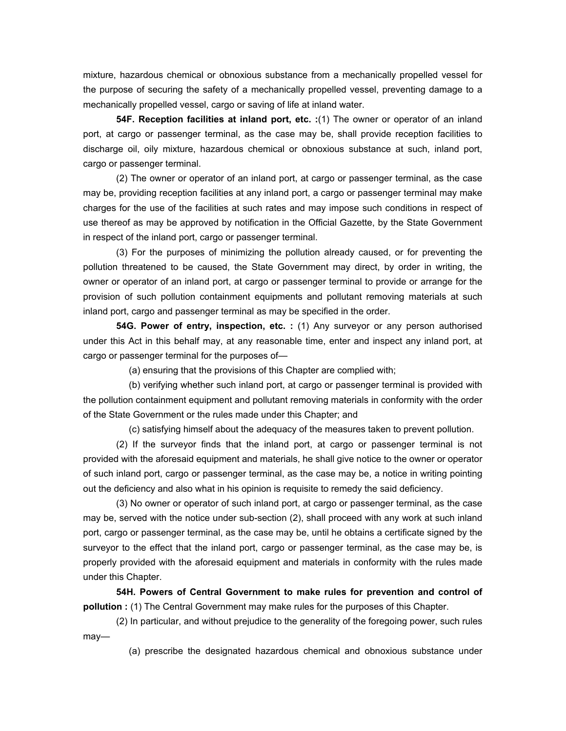mixture, hazardous chemical or obnoxious substance from a mechanically propelled vessel for the purpose of securing the safety of a mechanically propelled vessel, preventing damage to a mechanically propelled vessel, cargo or saving of life at inland water.

 **54F. Reception facilities at inland port, etc. :**(1) The owner or operator of an inland port, at cargo or passenger terminal, as the case may be, shall provide reception facilities to discharge oil, oily mixture, hazardous chemical or obnoxious substance at such, inland port, cargo or passenger terminal.

 (2) The owner or operator of an inland port, at cargo or passenger terminal, as the case may be, providing reception facilities at any inland port, a cargo or passenger terminal may make charges for the use of the facilities at such rates and may impose such conditions in respect of use thereof as may be approved by notification in the Official Gazette, by the State Government in respect of the inland port, cargo or passenger terminal.

 (3) For the purposes of minimizing the pollution already caused, or for preventing the pollution threatened to be caused, the State Government may direct, by order in writing, the owner or operator of an inland port, at cargo or passenger terminal to provide or arrange for the provision of such pollution containment equipments and pollutant removing materials at such inland port, cargo and passenger terminal as may be specified in the order.

 **54G. Power of entry, inspection, etc. :** (1) Any surveyor or any person authorised under this Act in this behalf may, at any reasonable time, enter and inspect any inland port, at cargo or passenger terminal for the purposes of—

(a) ensuring that the provisions of this Chapter are complied with;

 (b) verifying whether such inland port, at cargo or passenger terminal is provided with the pollution containment equipment and pollutant removing materials in conformity with the order of the State Government or the rules made under this Chapter; and

(c) satisfying himself about the adequacy of the measures taken to prevent pollution.

 (2) If the surveyor finds that the inland port, at cargo or passenger terminal is not provided with the aforesaid equipment and materials, he shall give notice to the owner or operator of such inland port, cargo or passenger terminal, as the case may be, a notice in writing pointing out the deficiency and also what in his opinion is requisite to remedy the said deficiency.

 (3) No owner or operator of such inland port, at cargo or passenger terminal, as the case may be, served with the notice under sub-section (2), shall proceed with any work at such inland port, cargo or passenger terminal, as the case may be, until he obtains a certificate signed by the surveyor to the effect that the inland port, cargo or passenger terminal, as the case may be, is properly provided with the aforesaid equipment and materials in conformity with the rules made under this Chapter.

**54H. Powers of Central Government to make rules for prevention and control of pollution :** (1) The Central Government may make rules for the purposes of this Chapter.

 (2) In particular, and without prejudice to the generality of the foregoing power, such rules may—

(a) prescribe the designated hazardous chemical and obnoxious substance under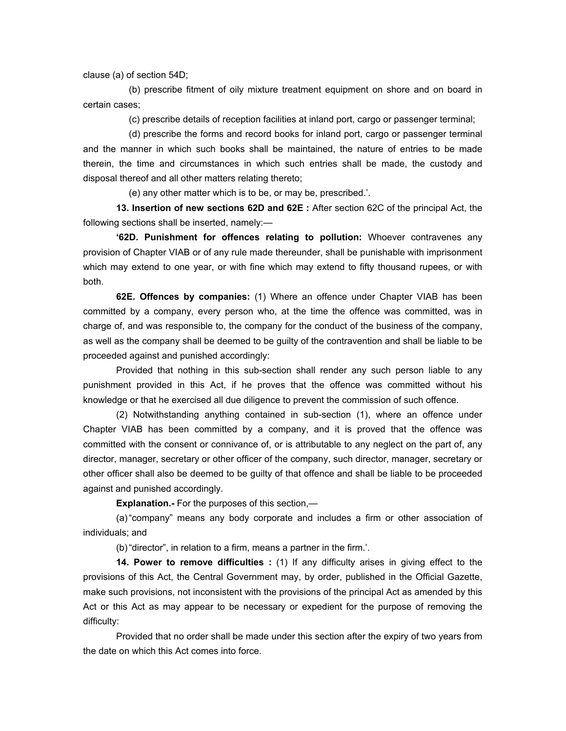clause (a) of section 54D;

 (b) prescribe fitment of oily mixture treatment equipment on shore and on board in certain cases;

(c) prescribe details of reception facilities at inland port, cargo or passenger terminal;

 (d) prescribe the forms and record books for inland port, cargo or passenger terminal and the manner in which such books shall be maintained, the nature of entries to be made therein, the time and circumstances in which such entries shall be made, the custody and disposal thereof and all other matters relating thereto;

(e) any other matter which is to be, or may be, prescribed.'.

 **13. Insertion of new sections 62D and 62E :** After section 62C of the principal Act, the following sections shall be inserted, namely:—

**'62D. Punishment for offences relating to pollution:** Whoever contravenes any provision of Chapter VIAB or of any rule made thereunder, shall be punishable with imprisonment which may extend to one year, or with fine which may extend to fifty thousand rupees, or with both.

**62E. Offences by companies:** (1) Where an offence under Chapter VIAB has been committed by a company, every person who, at the time the offence was committed, was in charge of, and was responsible to, the company for the conduct of the business of the company, as well as the company shall be deemed to be guilty of the contravention and shall be liable to be proceeded against and punished accordingly:

 Provided that nothing in this sub-section shall render any such person liable to any punishment provided in this Act, if he proves that the offence was committed without his knowledge or that he exercised all due diligence to prevent the commission of such offence.

 (2) Notwithstanding anything contained in sub-section (1), where an offence under Chapter VIAB has been committed by a company, and it is proved that the offence was committed with the consent or connivance of, or is attributable to any neglect on the part of, any director, manager, secretary or other officer of the company, such director, manager, secretary or other officer shall also be deemed to be guilty of that offence and shall be liable to be proceeded against and punished accordingly.

**Explanation.-** For the purposes of this section,—

 (a) "company" means any body corporate and includes a firm or other association of individuals; and

(b) "director", in relation to a firm, means a partner in the firm.'.

 **14. Power to remove difficulties :** (1) If any difficulty arises in giving effect to the provisions of this Act, the Central Government may, by order, published in the Official Gazette, make such provisions, not inconsistent with the provisions of the principal Act as amended by this Act or this Act as may appear to be necessary or expedient for the purpose of removing the difficulty:

 Provided that no order shall be made under this section after the expiry of two years from the date on which this Act comes into force.